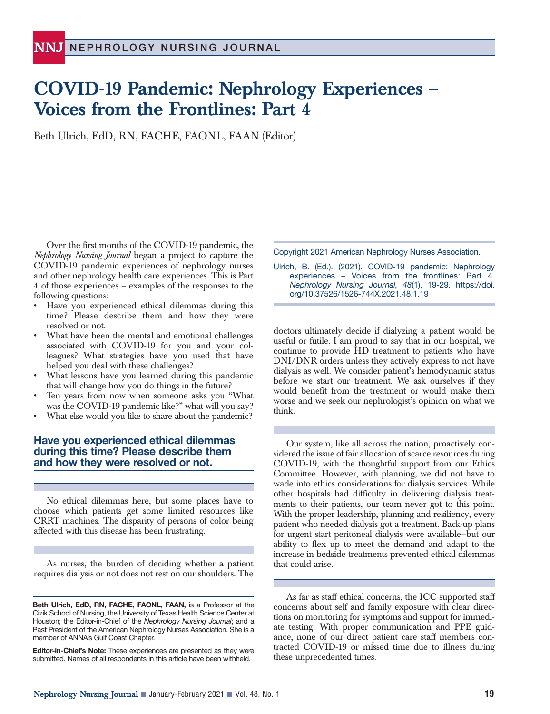# **COVID-19 Pandemic: Nephrology Experiences – Voices from the Frontlines: Part 4**

Beth Ulrich, EdD, RN, FACHE, FAONL, FAAN (Editor)

Over the first months of the COVID-19 pandemic, the *Nephrology Nursing Journal* began a project to capture the COVID-19 pandemic experiences of nephrology nurses and other nephrology health care experiences. This is Part 4 of those experiences – examples of the responses to the following questions:

- Have you experienced ethical dilemmas during this time? Please describe them and how they were resolved or not.
- What have been the mental and emotional challenges associated with COVID-19 for you and your colleagues? What strategies have you used that have helped you deal with these challenges?
- What lessons have you learned during this pandemic that will change how you do things in the future?
- Ten years from now when someone asks you "What was the COVID-19 pandemic like?" what will you say?
- What else would you like to share about the pandemic?

## **Have you experienced ethical dilemmas during this time? Please describe them and how they were resolved or not.**

No ethical dilemmas here, but some places have to choose which patients get some limited resources like CRRT machines. The disparity of persons of color being affected with this disease has been frustrating.

As nurses, the burden of deciding whether a patient requires dialysis or not does not rest on our shoulders. The

**Editor-in-Chief's Note:** These experiences are presented as they were submitted. Names of all respondents in this article have been withheld.

Copyright 2021 American Nephrology Nurses Association.

Ulrich, B. (Ed.). (2021). COVID-19 pandemic: Nephrology experiences – Voices from the frontlines: Part 4. *Nephrology Nursing Journal, 48*(1), 19-29. https://doi. org/10.37526/1526-744X.2021.48.1.19

doctors ultimately decide if dialyzing a patient would be useful or futile. I am proud to say that in our hospital, we continue to provide HD treatment to patients who have DNI/DNR orders unless they actively express to not have dialysis as well. We consider patient's hemodynamic status before we start our treatment. We ask ourselves if they would benefit from the treatment or would make them worse and we seek our nephrologist's opinion on what we think.

Our system, like all across the nation, proactively considered the issue of fair allocation of scarce resources during COVID-19, with the thoughtful support from our Ethics Committee. However, with planning, we did not have to wade into ethics considerations for dialysis services. While other hospitals had difficulty in delivering dialysis treatments to their patients, our team never got to this point. With the proper leadership, planning and resiliency, every patient who needed dialysis got a treatment. Back-up plans for urgent start peritoneal dialysis were available—but our ability to flex up to meet the demand and adapt to the increase in bedside treatments prevented ethical dilemmas that could arise.

As far as staff ethical concerns, the ICC supported staff concerns about self and family exposure with clear directions on monitoring for symptoms and support for immediate testing. With proper communication and PPE guidance, none of our direct patient care staff members contracted COVID-19 or missed time due to illness during these unprecedented times.

**Beth Ulrich, EdD, RN, FACHE, FAONL, FAAN,** is a Professor at the Cizik School of Nursing, the University of Texas Health Science Center at Houston; the Editor-in-Chief of the *Nephrology Nursing Journal*; and a Past President of the American Nephrology Nurses Association. She is a member of ANNA's Gulf Coast Chapter.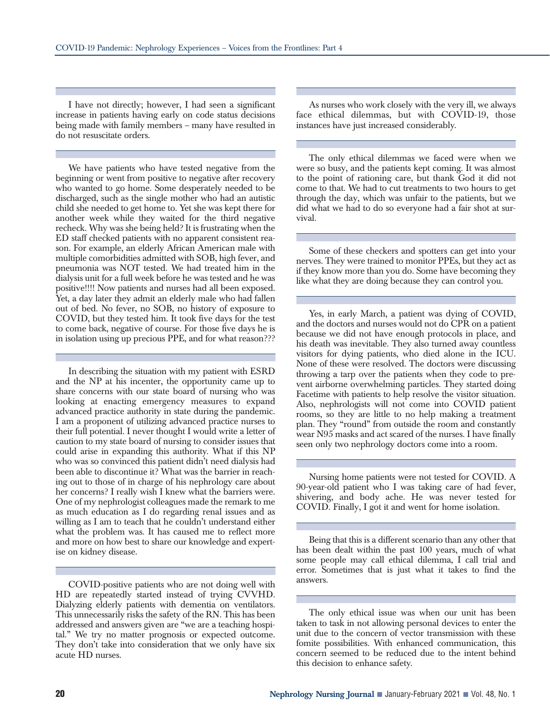I have not directly; however, I had seen a significant increase in patients having early on code status decisions being made with family members – many have resulted in do not resuscitate orders.

We have patients who have tested negative from the beginning or went from positive to negative after recovery who wanted to go home. Some desperately needed to be discharged, such as the single mother who had an autistic child she needed to get home to. Yet she was kept there for another week while they waited for the third negative recheck. Why was she being held? It is frustrating when the ED staff checked patients with no apparent consistent reason. For example, an elderly African American male with multiple comorbidities admitted with SOB, high fever, and pneumonia was NOT tested. We had treated him in the dialysis unit for a full week before he was tested and he was positive!!!! Now patients and nurses had all been exposed. Yet, a day later they admit an elderly male who had fallen out of bed. No fever, no SOB, no history of exposure to COVID, but they tested him. It took five days for the test to come back, negative of course. For those five days he is in isolation using up precious PPE, and for what reason???

In describing the situation with my patient with ESRD and the NP at his incenter, the opportunity came up to share concerns with our state board of nursing who was looking at enacting emergency measures to expand advanced practice authority in state during the pandemic. I am a proponent of utilizing advanced practice nurses to their full potential. I never thought I would write a letter of caution to my state board of nursing to consider issues that could arise in expanding this authority. What if this NP who was so convinced this patient didn't need dialysis had been able to discontinue it? What was the barrier in reaching out to those of in charge of his nephrology care about her concerns? I really wish I knew what the barriers were. One of my nephrologist colleagues made the remark to me as much education as I do regarding renal issues and as willing as I am to teach that he couldn't understand either what the problem was. It has caused me to reflect more and more on how best to share our knowledge and expertise on kidney disease.

COVID-positive patients who are not doing well with HD are repeatedly started instead of trying CVVHD. Dialyzing elderly patients with dementia on ventilators. This unnecessarily risks the safety of the RN. This has been addressed and answers given are "we are a teaching hospital." We try no matter prognosis or expected outcome. They don't take into consideration that we only have six acute HD nurses.

As nurses who work closely with the very ill, we always face ethical dilemmas, but with COVID-19, those instances have just increased considerably.

The only ethical dilemmas we faced were when we were so busy, and the patients kept coming. It was almost to the point of rationing care, but thank God it did not come to that. We had to cut treatments to two hours to get through the day, which was unfair to the patients, but we did what we had to do so everyone had a fair shot at survival.

Some of these checkers and spotters can get into your nerves. They were trained to monitor PPEs, but they act as if they know more than you do. Some have becoming they like what they are doing because they can control you.

Yes, in early March, a patient was dying of COVID, and the doctors and nurses would not do CPR on a patient because we did not have enough protocols in place, and his death was inevitable. They also turned away countless visitors for dying patients, who died alone in the ICU. None of these were resolved. The doctors were discussing throwing a tarp over the patients when they code to prevent airborne overwhelming particles. They started doing Facetime with patients to help resolve the visitor situation. Also, nephrologists will not come into COVID patient rooms, so they are little to no help making a treatment plan. They "round" from outside the room and constantly wear N95 masks and act scared of the nurses. I have finally seen only two nephrology doctors come into a room.

Nursing home patients were not tested for COVID. A 90-year-old patient who I was taking care of had fever, shivering, and body ache. He was never tested for COVID. Finally, I got it and went for home isolation.

Being that this is a different scenario than any other that has been dealt within the past 100 years, much of what some people may call ethical dilemma, I call trial and error. Sometimes that is just what it takes to find the answers.

The only ethical issue was when our unit has been taken to task in not allowing personal devices to enter the unit due to the concern of vector transmission with these fomite possibilities. With enhanced communication, this concern seemed to be reduced due to the intent behind this decision to enhance safety.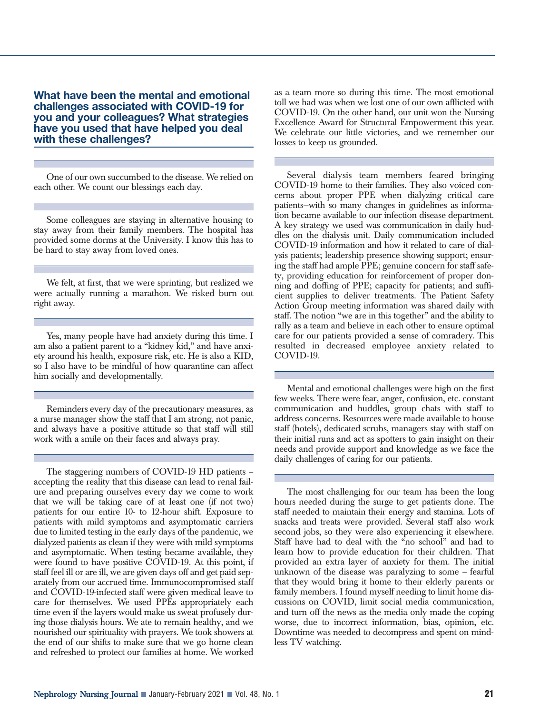**What have been the mental and emotional challenges associated with COVID-19 for you and your colleagues? What strategies have you used that have helped you deal with these challenges?**

One of our own succumbed to the disease. We relied on each other. We count our blessings each day.

Some colleagues are staying in alternative housing to stay away from their family members. The hospital has provided some dorms at the University. I know this has to be hard to stay away from loved ones.

We felt, at first, that we were sprinting, but realized we were actually running a marathon. We risked burn out right away.

Yes, many people have had anxiety during this time. I am also a patient parent to a "kidney kid," and have anxiety around his health, exposure risk, etc. He is also a KID, so I also have to be mindful of how quarantine can affect him socially and developmentally.

Reminders every day of the precautionary measures, as a nurse manager show the staff that I am strong, not panic, and always have a positive attitude so that staff will still work with a smile on their faces and always pray.

The staggering numbers of COVID-19 HD patients – accepting the reality that this disease can lead to renal failure and preparing ourselves every day we come to work that we will be taking care of at least one (if not two) patients for our entire 10- to 12-hour shift. Exposure to patients with mild symptoms and asymptomatic carriers due to limited testing in the early days of the pandemic, we dialyzed patients as clean if they were with mild symptoms and asymptomatic. When testing became available, they were found to have positive COVID-19. At this point, if staff feel ill or are ill, we are given days off and get paid separately from our accrued time. Immunocompromised staff and COVID-19-infected staff were given medical leave to care for themselves. We used PPEs appropriately each time even if the layers would make us sweat profusely during those dialysis hours. We ate to remain healthy, and we nourished our spirituality with prayers. We took showers at the end of our shifts to make sure that we go home clean and refreshed to protect our families at home. We worked

as a team more so during this time. The most emotional toll we had was when we lost one of our own afflicted with COVID-19. On the other hand, our unit won the Nursing Excellence Award for Structural Empowerment this year. We celebrate our little victories, and we remember our losses to keep us grounded.

Several dialysis team members feared bringing COVID-19 home to their families. They also voiced concerns about proper PPE when dialyzing critical care patients—with so many changes in guidelines as information became available to our infection disease department. A key strategy we used was communication in daily huddles on the dialysis unit. Daily communication included COVID-19 information and how it related to care of dialysis patients; leadership presence showing support; ensuring the staff had ample PPE; genuine concern for staff safety, providing education for reinforcement of proper donning and doffing of PPE; capacity for patients; and sufficient supplies to deliver treatments. The Patient Safety Action Group meeting information was shared daily with staff. The notion "we are in this together" and the ability to rally as a team and believe in each other to ensure optimal care for our patients provided a sense of comradery. This resulted in decreased employee anxiety related to COVID-19.

Mental and emotional challenges were high on the first few weeks. There were fear, anger, confusion, etc. constant communication and huddles, group chats with staff to address concerns. Resources were made available to house staff (hotels), dedicated scrubs, managers stay with staff on their initial runs and act as spotters to gain insight on their needs and provide support and knowledge as we face the daily challenges of caring for our patients.

The most challenging for our team has been the long hours needed during the surge to get patients done. The staff needed to maintain their energy and stamina. Lots of snacks and treats were provided. Several staff also work second jobs, so they were also experiencing it elsewhere. Staff have had to deal with the "no school" and had to learn how to provide education for their children. That provided an extra layer of anxiety for them. The initial unknown of the disease was paralyzing to some – fearful that they would bring it home to their elderly parents or family members. I found myself needing to limit home discussions on COVID, limit social media communication, and turn off the news as the media only made the coping worse, due to incorrect information, bias, opinion, etc. Downtime was needed to decompress and spent on mindless TV watching.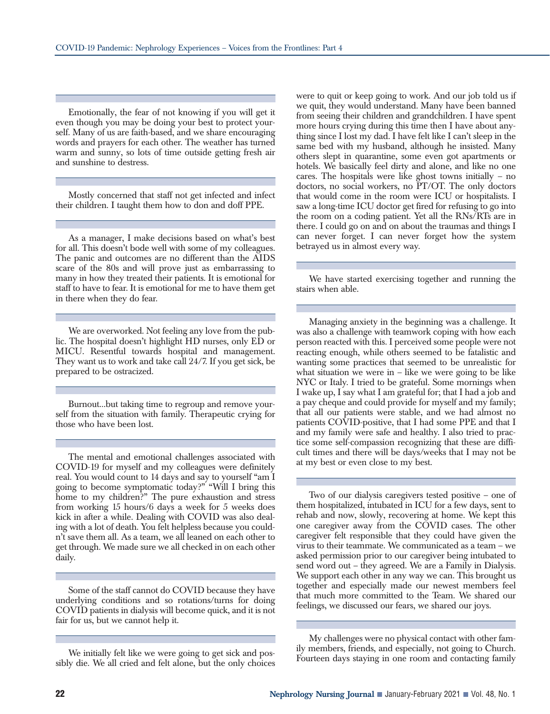Emotionally, the fear of not knowing if you will get it even though you may be doing your best to protect yourself. Many of us are faith-based, and we share encouraging words and prayers for each other. The weather has turned warm and sunny, so lots of time outside getting fresh air and sunshine to destress.

Mostly concerned that staff not get infected and infect their children. I taught them how to don and doff PPE.

As a manager, I make decisions based on what's best for all. This doesn't bode well with some of my colleagues. The panic and outcomes are no different than the AIDS scare of the 80s and will prove just as embarrassing to many in how they treated their patients. It is emotional for staff to have to fear. It is emotional for me to have them get in there when they do fear.

We are overworked. Not feeling any love from the public. The hospital doesn't highlight HD nurses, only ED or MICU. Resentful towards hospital and management. They want us to work and take call 24/7. If you get sick, be prepared to be ostracized.

Burnout...but taking time to regroup and remove yourself from the situation with family. Therapeutic crying for those who have been lost.

The mental and emotional challenges associated with COVID-19 for myself and my colleagues were definitely real. You would count to 14 days and say to yourself "am I going to become symptomatic today?" "Will I bring this home to my children?" The pure exhaustion and stress from working 15 hours/6 days a week for 5 weeks does kick in after a while. Dealing with COVID was also dealing with a lot of death. You felt helpless because you couldn't save them all. As a team, we all leaned on each other to get through. We made sure we all checked in on each other daily.

Some of the staff cannot do COVID because they have underlying conditions and so rotations/turns for doing COVID patients in dialysis will become quick, and it is not fair for us, but we cannot help it.

We initially felt like we were going to get sick and possibly die. We all cried and felt alone, but the only choices were to quit or keep going to work. And our job told us if we quit, they would understand. Many have been banned from seeing their children and grandchildren. I have spent more hours crying during this time then I have about anything since I lost my dad. I have felt like I can't sleep in the same bed with my husband, although he insisted. Many others slept in quarantine, some even got apartments or hotels. We basically feel dirty and alone, and like no one cares. The hospitals were like ghost towns initially – no doctors, no social workers, no PT/OT. The only doctors that would come in the room were ICU or hospitalists. I saw a long-time ICU doctor get fired for refusing to go into the room on a coding patient. Yet all the RNs/RTs are in there. I could go on and on about the traumas and things I can never forget. I can never forget how the system betrayed us in almost every way.

We have started exercising together and running the stairs when able.

Managing anxiety in the beginning was a challenge. It was also a challenge with teamwork coping with how each person reacted with this. I perceived some people were not reacting enough, while others seemed to be fatalistic and wanting some practices that seemed to be unrealistic for what situation we were in – like we were going to be like NYC or Italy. I tried to be grateful. Some mornings when I wake up, I say what I am grateful for; that I had a job and a pay cheque and could provide for myself and my family; that all our patients were stable, and we had almost no patients COVID-positive, that I had some PPE and that I and my family were safe and healthy. I also tried to practice some self-compassion recognizing that these are difficult times and there will be days/weeks that I may not be at my best or even close to my best.

Two of our dialysis caregivers tested positive – one of them hospitalized, intubated in ICU for a few days, sent to rehab and now, slowly, recovering at home. We kept this one caregiver away from the COVID cases. The other caregiver felt responsible that they could have given the virus to their teammate. We communicated as a team – we asked permission prior to our caregiver being intubated to send word out – they agreed. We are a Family in Dialysis. We support each other in any way we can. This brought us together and especially made our newest members feel that much more committed to the Team. We shared our feelings, we discussed our fears, we shared our joys.

My challenges were no physical contact with other family members, friends, and especially, not going to Church. Fourteen days staying in one room and contacting family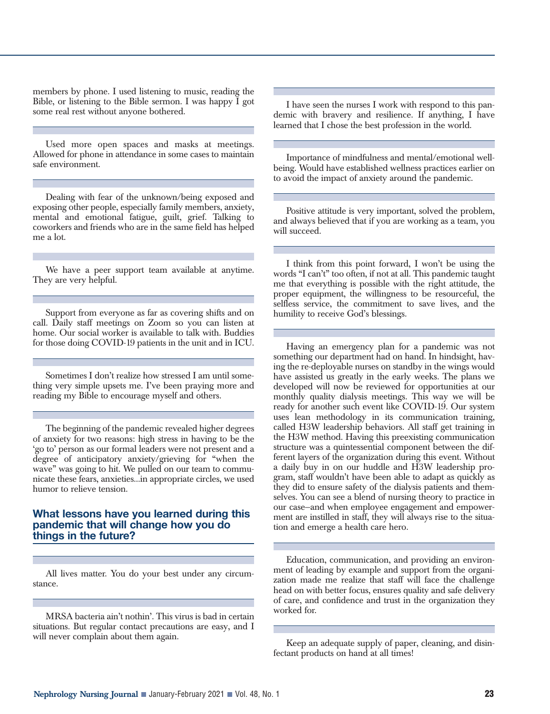members by phone. I used listening to music, reading the Bible, or listening to the Bible sermon. I was happy I got some real rest without anyone bothered.

Used more open spaces and masks at meetings. Allowed for phone in attendance in some cases to maintain safe environment.

Dealing with fear of the unknown/being exposed and exposing other people, especially family members, anxiety, mental and emotional fatigue, guilt, grief. Talking to coworkers and friends who are in the same field has helped me a lot.

We have a peer support team available at anytime. They are very helpful.

Support from everyone as far as covering shifts and on call. Daily staff meetings on Zoom so you can listen at home. Our social worker is available to talk with. Buddies for those doing COVID-19 patients in the unit and in ICU.

Sometimes I don't realize how stressed I am until something very simple upsets me. I've been praying more and reading my Bible to encourage myself and others.

The beginning of the pandemic revealed higher degrees of anxiety for two reasons: high stress in having to be the 'go to' person as our formal leaders were not present and a degree of anticipatory anxiety/grieving for "when the wave" was going to hit. We pulled on our team to communicate these fears, anxieties...in appropriate circles, we used humor to relieve tension.

### **What lessons have you learned during this pandemic that will change how you do things in the future?**

All lives matter. You do your best under any circumstance.

MRSA bacteria ain't nothin'. This virus is bad in certain situations. But regular contact precautions are easy, and I will never complain about them again.

I have seen the nurses I work with respond to this pandemic with bravery and resilience. If anything, I have learned that I chose the best profession in the world.

Importance of mindfulness and mental/emotional wellbeing. Would have established wellness practices earlier on to avoid the impact of anxiety around the pandemic.

Positive attitude is very important, solved the problem, and always believed that if you are working as a team, you will succeed.

I think from this point forward, I won't be using the words "I can't" too often, if not at all. This pandemic taught me that everything is possible with the right attitude, the proper equipment, the willingness to be resourceful, the selfless service, the commitment to save lives, and the humility to receive God's blessings.

Having an emergency plan for a pandemic was not something our department had on hand. In hindsight, having the re-deployable nurses on standby in the wings would have assisted us greatly in the early weeks. The plans we developed will now be reviewed for opportunities at our monthly quality dialysis meetings. This way we will be ready for another such event like COVID-19. Our system uses lean methodology in its communication training, called H3W leadership behaviors. All staff get training in the H3W method. Having this preexisting communication structure was a quintessential component between the different layers of the organization during this event. Without a daily buy in on our huddle and H3W leadership program, staff wouldn't have been able to adapt as quickly as they did to ensure safety of the dialysis patients and themselves. You can see a blend of nursing theory to practice in our case—and when employee engagement and empowerment are instilled in staff, they will always rise to the situation and emerge a health care hero.

Education, communication, and providing an environment of leading by example and support from the organization made me realize that staff will face the challenge head on with better focus, ensures quality and safe delivery of care, and confidence and trust in the organization they worked for.

Keep an adequate supply of paper, cleaning, and disinfectant products on hand at all times!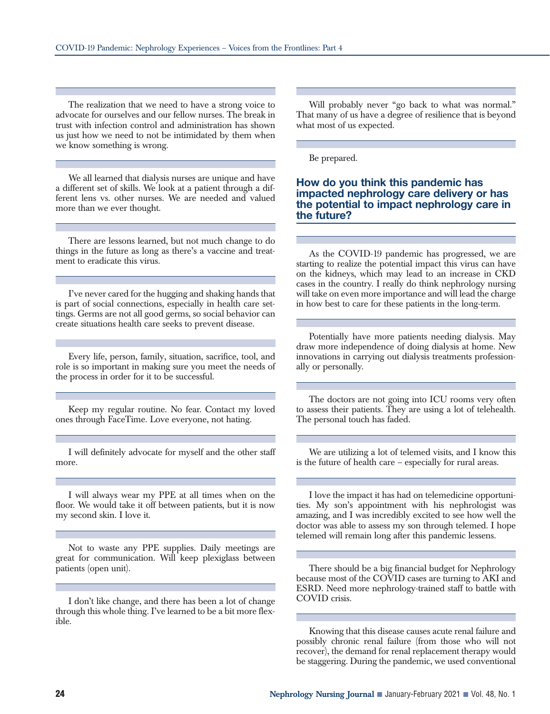The realization that we need to have a strong voice to advocate for ourselves and our fellow nurses. The break in trust with infection control and administration has shown us just how we need to not be intimidated by them when we know something is wrong.

We all learned that dialysis nurses are unique and have a different set of skills. We look at a patient through a different lens vs. other nurses. We are needed and valued more than we ever thought.

There are lessons learned, but not much change to do things in the future as long as there's a vaccine and treatment to eradicate this virus.

I've never cared for the hugging and shaking hands that is part of social connections, especially in health care settings. Germs are not all good germs, so social behavior can create situations health care seeks to prevent disease.

Every life, person, family, situation, sacrifice, tool, and role is so important in making sure you meet the needs of the process in order for it to be successful.

Keep my regular routine. No fear. Contact my loved ones through FaceTime. Love everyone, not hating.

I will definitely advocate for myself and the other staff more.

I will always wear my PPE at all times when on the floor. We would take it off between patients, but it is now my second skin. I love it.

Not to waste any PPE supplies. Daily meetings are great for communication. Will keep plexiglass between patients (open unit).

I don't like change, and there has been a lot of change through this whole thing. I've learned to be a bit more flexible.

Will probably never "go back to what was normal." That many of us have a degree of resilience that is beyond what most of us expected.

Be prepared.

#### **How do you think this pandemic has impacted nephrology care delivery or has the potential to impact nephrology care in the future?**

As the COVID-19 pandemic has progressed, we are starting to realize the potential impact this virus can have on the kidneys, which may lead to an increase in CKD cases in the country. I really do think nephrology nursing will take on even more importance and will lead the charge in how best to care for these patients in the long-term.

Potentially have more patients needing dialysis. May draw more independence of doing dialysis at home. New innovations in carrying out dialysis treatments professionally or personally.

The doctors are not going into ICU rooms very often to assess their patients. They are using a lot of telehealth. The personal touch has faded.

We are utilizing a lot of telemed visits, and I know this is the future of health care – especially for rural areas.

I love the impact it has had on telemedicine opportunities. My son's appointment with his nephrologist was amazing, and I was incredibly excited to see how well the doctor was able to assess my son through telemed. I hope telemed will remain long after this pandemic lessens.

There should be a big financial budget for Nephrology because most of the COVID cases are turning to AKI and ESRD. Need more nephrology-trained staff to battle with COVID crisis.

Knowing that this disease causes acute renal failure and possibly chronic renal failure (from those who will not recover), the demand for renal replacement therapy would be staggering. During the pandemic, we used conventional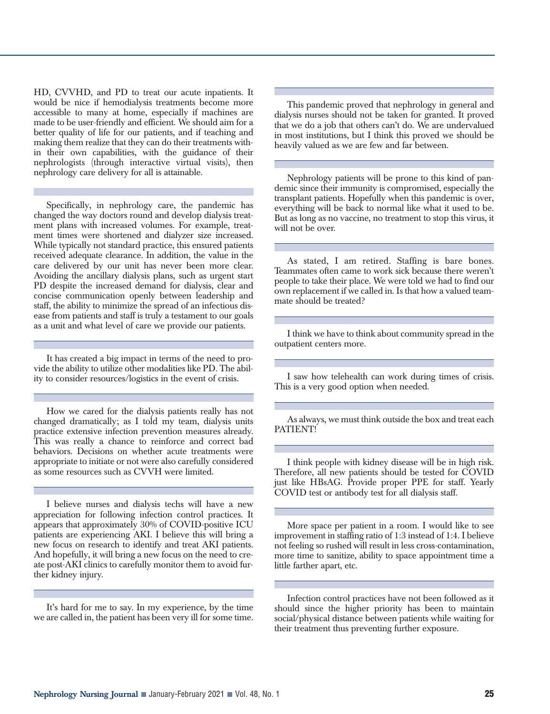HD, CVVHD, and PD to treat our acute inpatients. It would be nice if hemodialysis treatments become more accessible to many at home, especially if machines are made to be user-friendly and efficient. We should aim for a better quality of life for our patients, and if teaching and making them realize that they can do their treatments within their own capabilities, with the guidance of their nephrologists (through interactive virtual visits), then nephrology care delivery for all is attainable.

Specifically, in nephrology care, the pandemic has changed the way doctors round and develop dialysis treatment plans with increased volumes. For example, treatment times were shortened and dialyzer size increased. While typically not standard practice, this ensured patients received adequate clearance. In addition, the value in the care delivered by our unit has never been more clear. Avoiding the ancillary dialysis plans, such as urgent start PD despite the increased demand for dialysis, clear and concise communication openly between leadership and staff, the ability to minimize the spread of an infectious disease from patients and staff is truly a testament to our goals as a unit and what level of care we provide our patients.

It has created a big impact in terms of the need to provide the ability to utilize other modalities like PD. The ability to consider resources/logistics in the event of crisis.

How we cared for the dialysis patients really has not changed dramatically; as I told my team, dialysis units practice extensive infection prevention measures already. This was really a chance to reinforce and correct bad behaviors. Decisions on whether acute treatments were appropriate to initiate or not were also carefully considered as some resources such as CVVH were limited.

I believe nurses and dialysis techs will have a new appreciation for following infection control practices. It appears that approximately 30% of COVID-positive ICU patients are experiencing AKI. I believe this will bring a new focus on research to identify and treat AKI patients. And hopefully, it will bring a new focus on the need to create post-AKI clinics to carefully monitor them to avoid further kidney injury.

It's hard for me to say. In my experience, by the time we are called in, the patient has been very ill for some time.

This pandemic proved that nephrology in general and dialysis nurses should not be taken for granted. It proved that we do a job that others can't do. We are undervalued in most institutions, but I think this proved we should be heavily valued as we are few and far between.

Nephrology patients will be prone to this kind of pandemic since their immunity is compromised, especially the transplant patients. Hopefully when this pandemic is over, everything will be back to normal like what it used to be. But as long as no vaccine, no treatment to stop this virus, it will not be over.

As stated, I am retired. Staffing is bare bones. Teammates often came to work sick because there weren't people to take their place. We were told we had to find our own replacement if we called in. Is that how a valued teammate should be treated?

I think we have to think about community spread in the outpatient centers more.

I saw how telehealth can work during times of crisis. This is a very good option when needed.

As always, we must think outside the box and treat each PATIENT!

I think people with kidney disease will be in high risk. Therefore, all new patients should be tested for COVID just like HBsAG. Provide proper PPE for staff. Yearly COVID test or antibody test for all dialysis staff.

More space per patient in a room. I would like to see improvement in staffing ratio of 1:3 instead of 1:4. I believe not feeling so rushed will result in less cross-contamination, more time to sanitize, ability to space appointment time a little farther apart, etc.

Infection control practices have not been followed as it should since the higher priority has been to maintain social/physical distance between patients while waiting for their treatment thus preventing further exposure.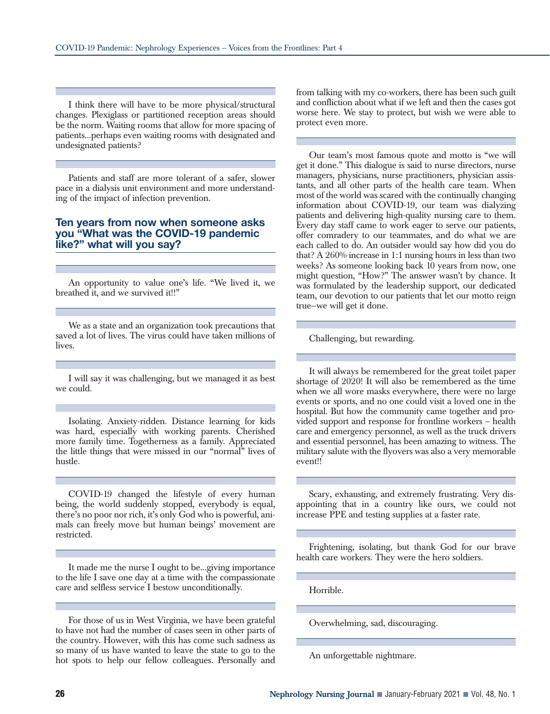I think there will have to be more physical/structural changes. Plexiglass or partitioned reception areas should be the norm. Waiting rooms that allow for more spacing of patients...perhaps even waiting rooms with designated and undesignated patients?

Patients and staff are more tolerant of a safer, slower pace in a dialysis unit environment and more understanding of the impact of infection prevention.

#### **Ten years from now when someone asks you "What was the COVID-19 pandemic like?" what will you say?**

An opportunity to value one's life. "We lived it, we breathed it, and we survived it!!"

We as a state and an organization took precautions that saved a lot of lives. The virus could have taken millions of lives.

I will say it was challenging, but we managed it as best we could.

Isolating. Anxiety-ridden. Distance learning for kids was hard, especially with working parents. Cherished more family time. Togetherness as a family. Appreciated the little things that were missed in our "normal" lives of hustle.

COVID-19 changed the lifestyle of every human being, the world suddenly stopped, everybody is equal, there's no poor nor rich, it's only God who is powerful, animals can freely move but human beings' movement are restricted.

It made me the nurse I ought to be...giving importance to the life I save one day at a time with the compassionate care and selfless service I bestow unconditionally.

For those of us in West Virginia, we have been grateful to have not had the number of cases seen in other parts of the country. However, with this has come such sadness as so many of us have wanted to leave the state to go to the hot spots to help our fellow colleagues. Personally and from talking with my co-workers, there has been such guilt and confliction about what if we left and then the cases got worse here. We stay to protect, but wish we were able to protect even more.

Our team's most famous quote and motto is "we will get it done." This dialogue is said to nurse directors, nurse managers, physicians, nurse practitioners, physician assistants, and all other parts of the health care team. When most of the world was scared with the continually changing information about COVID-19, our team was dialyzing patients and delivering high-quality nursing care to them. Every day staff came to work eager to serve our patients, offer comradery to our teammates, and do what we are each called to do. An outsider would say how did you do that? A 260% increase in 1:1 nursing hours in less than two weeks? As someone looking back 10 years from now, one might question, "How?" The answer wasn't by chance. It was formulated by the leadership support, our dedicated team, our devotion to our patients that let our motto reign true—we will get it done.

Challenging, but rewarding.

It will always be remembered for the great toilet paper shortage of 2020! It will also be remembered as the time when we all wore masks everywhere, there were no large events or sports, and no one could visit a loved one in the hospital. But how the community came together and provided support and response for frontline workers – health care and emergency personnel, as well as the truck drivers and essential personnel, has been amazing to witness. The military salute with the flyovers was also a very memorable event!!

Scary, exhausting, and extremely frustrating. Very disappointing that in a country like ours, we could not increase PPE and testing supplies at a faster rate.

Frightening, isolating, but thank God for our brave health care workers. They were the hero soldiers.

Horrible.

Overwhelming, sad, discouraging.

An unforgettable nightmare.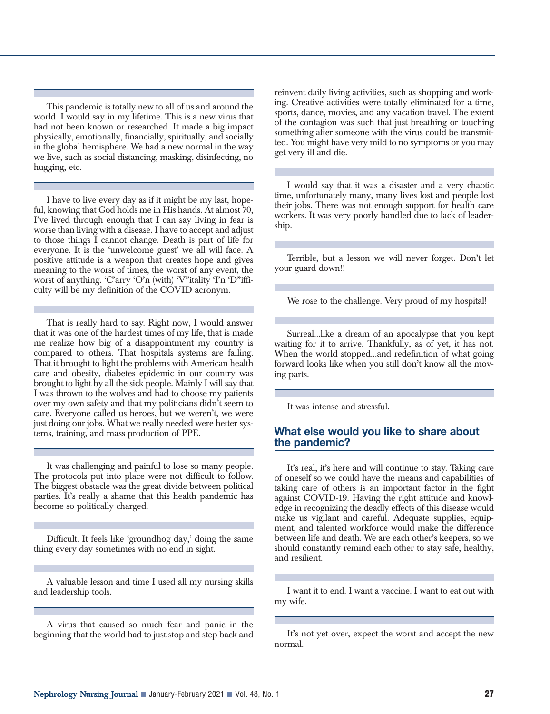This pandemic is totally new to all of us and around the world. I would say in my lifetime. This is a new virus that had not been known or researched. It made a big impact physically, emotionally, financially, spiritually, and socially in the global hemisphere. We had a new normal in the way we live, such as social distancing, masking, disinfecting, no hugging, etc.

I have to live every day as if it might be my last, hopeful, knowing that God holds me in His hands. At almost 70, I've lived through enough that I can say living in fear is worse than living with a disease. I have to accept and adjust to those things I cannot change. Death is part of life for everyone. It is the 'unwelcome guest' we all will face. A positive attitude is a weapon that creates hope and gives meaning to the worst of times, the worst of any event, the worst of anything. 'C'arry 'O'n (with) 'V"itality 'I'n 'D"ifficulty will be my definition of the COVID acronym.

That is really hard to say. Right now, I would answer that it was one of the hardest times of my life, that is made me realize how big of a disappointment my country is compared to others. That hospitals systems are failing. That it brought to light the problems with American health care and obesity, diabetes epidemic in our country was brought to light by all the sick people. Mainly I will say that I was thrown to the wolves and had to choose my patients over my own safety and that my politicians didn't seem to care. Everyone called us heroes, but we weren't, we were just doing our jobs. What we really needed were better systems, training, and mass production of PPE.

It was challenging and painful to lose so many people. The protocols put into place were not difficult to follow. The biggest obstacle was the great divide between political parties. It's really a shame that this health pandemic has become so politically charged.

Difficult. It feels like 'groundhog day,' doing the same thing every day sometimes with no end in sight.

A valuable lesson and time I used all my nursing skills and leadership tools.

A virus that caused so much fear and panic in the beginning that the world had to just stop and step back and reinvent daily living activities, such as shopping and working. Creative activities were totally eliminated for a time, sports, dance, movies, and any vacation travel. The extent of the contagion was such that just breathing or touching something after someone with the virus could be transmitted. You might have very mild to no symptoms or you may get very ill and die.

I would say that it was a disaster and a very chaotic time, unfortunately many, many lives lost and people lost their jobs. There was not enough support for health care workers. It was very poorly handled due to lack of leadership.

Terrible, but a lesson we will never forget. Don't let your guard down!!

We rose to the challenge. Very proud of my hospital!

Surreal...like a dream of an apocalypse that you kept waiting for it to arrive. Thankfully, as of yet, it has not. When the world stopped...and redefinition of what going forward looks like when you still don't know all the moving parts.

It was intense and stressful.

## **What else would you like to share about the pandemic?**

It's real, it's here and will continue to stay. Taking care of oneself so we could have the means and capabilities of taking care of others is an important factor in the fight against COVID-19. Having the right attitude and knowledge in recognizing the deadly effects of this disease would make us vigilant and careful. Adequate supplies, equipment, and talented workforce would make the difference between life and death. We are each other's keepers, so we should constantly remind each other to stay safe, healthy, and resilient.

I want it to end. I want a vaccine. I want to eat out with my wife.

It's not yet over, expect the worst and accept the new normal.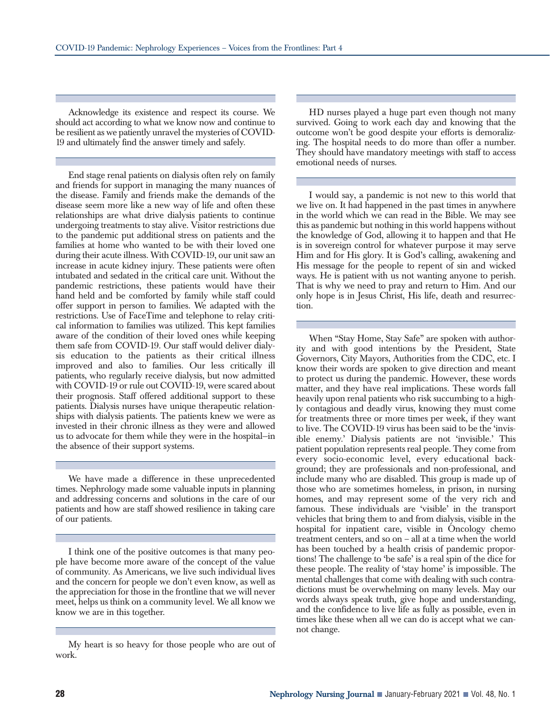Acknowledge its existence and respect its course. We should act according to what we know now and continue to be resilient as we patiently unravel the mysteries of COVID-19 and ultimately find the answer timely and safely.

End stage renal patients on dialysis often rely on family and friends for support in managing the many nuances of the disease. Family and friends make the demands of the disease seem more like a new way of life and often these relationships are what drive dialysis patients to continue undergoing treatments to stay alive. Visitor restrictions due to the pandemic put additional stress on patients and the families at home who wanted to be with their loved one during their acute illness. With COVID-19, our unit saw an increase in acute kidney injury. These patients were often intubated and sedated in the critical care unit. Without the pandemic restrictions, these patients would have their hand held and be comforted by family while staff could offer support in person to families. We adapted with the restrictions. Use of FaceTime and telephone to relay critical information to families was utilized. This kept families aware of the condition of their loved ones while keeping them safe from COVID-19. Our staff would deliver dialysis education to the patients as their critical illness improved and also to families. Our less critically ill patients, who regularly receive dialysis, but now admitted with COVID-19 or rule out COVID-19, were scared about their prognosis. Staff offered additional support to these patients. Dialysis nurses have unique therapeutic relationships with dialysis patients. The patients knew we were as invested in their chronic illness as they were and allowed us to advocate for them while they were in the hospital—in the absence of their support systems.

We have made a difference in these unprecedented times. Nephrology made some valuable inputs in planning and addressing concerns and solutions in the care of our patients and how are staff showed resilience in taking care of our patients.

I think one of the positive outcomes is that many people have become more aware of the concept of the value of community. As Americans, we live such individual lives and the concern for people we don't even know, as well as the appreciation for those in the frontline that we will never meet, helps us think on a community level. We all know we know we are in this together.

My heart is so heavy for those people who are out of work.

HD nurses played a huge part even though not many survived. Going to work each day and knowing that the outcome won't be good despite your efforts is demoralizing. The hospital needs to do more than offer a number. They should have mandatory meetings with staff to access emotional needs of nurses.

I would say, a pandemic is not new to this world that we live on. It had happened in the past times in anywhere in the world which we can read in the Bible. We may see this as pandemic but nothing in this world happens without the knowledge of God, allowing it to happen and that He is in sovereign control for whatever purpose it may serve Him and for His glory. It is God's calling, awakening and His message for the people to repent of sin and wicked ways. He is patient with us not wanting anyone to perish. That is why we need to pray and return to Him. And our only hope is in Jesus Christ, His life, death and resurrection.

When "Stay Home, Stay Safe" are spoken with authority and with good intentions by the President, State Governors, City Mayors, Authorities from the CDC, etc. I know their words are spoken to give direction and meant to protect us during the pandemic. However, these words matter, and they have real implications. These words fall heavily upon renal patients who risk succumbing to a highly contagious and deadly virus, knowing they must come for treatments three or more times per week, if they want to live. The COVID-19 virus has been said to be the 'invisible enemy.' Dialysis patients are not 'invisible.' This patient population represents real people. They come from every socio-economic level, every educational background; they are professionals and non-professional, and include many who are disabled. This group is made up of those who are sometimes homeless, in prison, in nursing homes, and may represent some of the very rich and famous. These individuals are 'visible' in the transport vehicles that bring them to and from dialysis, visible in the hospital for inpatient care, visible in Oncology chemo treatment centers, and so on – all at a time when the world has been touched by a health crisis of pandemic proportions! The challenge to 'be safe' is a real spin of the dice for these people. The reality of 'stay home' is impossible. The mental challenges that come with dealing with such contradictions must be overwhelming on many levels. May our words always speak truth, give hope and understanding, and the confidence to live life as fully as possible, even in times like these when all we can do is accept what we cannot change.